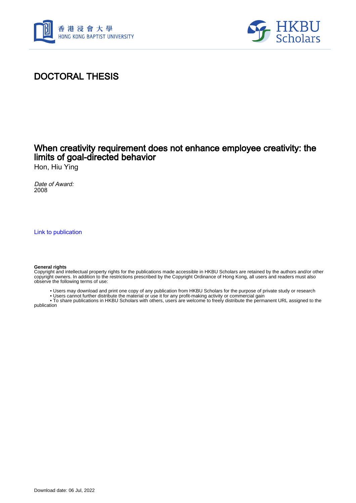



# DOCTORAL THESIS

# When creativity requirement does not enhance employee creativity: the limits of goal-directed behavior

Hon, Hiu Ying

Date of Award: 2008

[Link to publication](https://scholars.hkbu.edu.hk/en/studentTheses/5411b094-2a04-46a2-ab5d-387f63252041)

#### **General rights**

Copyright and intellectual property rights for the publications made accessible in HKBU Scholars are retained by the authors and/or other copyright owners. In addition to the restrictions prescribed by the Copyright Ordinance of Hong Kong, all users and readers must also observe the following terms of use:

- Users may download and print one copy of any publication from HKBU Scholars for the purpose of private study or research
- Users cannot further distribute the material or use it for any profit-making activity or commercial gain

 • To share publications in HKBU Scholars with others, users are welcome to freely distribute the permanent URL assigned to the publication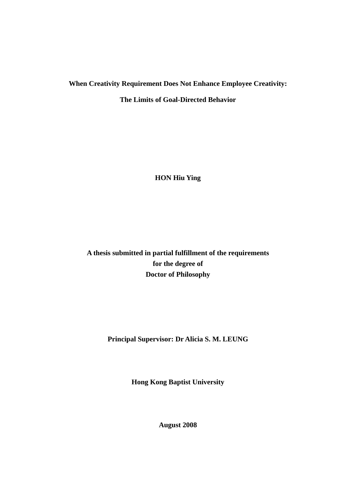### **When Creativity Requirement Does Not Enhance Employee Creativity:**

**The Limits of Goal-Directed Behavior** 

**HON Hiu Ying** 

**A thesis submitted in partial fulfillment of the requirements for the degree of Doctor of Philosophy** 

**Principal Supervisor: Dr Alicia S. M. LEUNG** 

**Hong Kong Baptist University** 

**August 2008**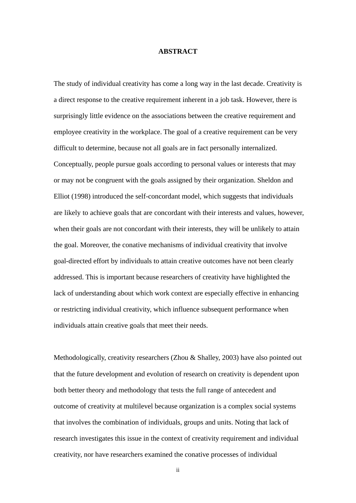### **ABSTRACT**

The study of individual creativity has come a long way in the last decade. Creativity is a direct response to the creative requirement inherent in a job task. However, there is surprisingly little evidence on the associations between the creative requirement and employee creativity in the workplace. The goal of a creative requirement can be very difficult to determine, because not all goals are in fact personally internalized. Conceptually, people pursue goals according to personal values or interests that may or may not be congruent with the goals assigned by their organization. Sheldon and Elliot (1998) introduced the self-concordant model, which suggests that individuals are likely to achieve goals that are concordant with their interests and values, however, when their goals are not concordant with their interests, they will be unlikely to attain the goal. Moreover, the conative mechanisms of individual creativity that involve goal-directed effort by individuals to attain creative outcomes have not been clearly addressed. This is important because researchers of creativity have highlighted the lack of understanding about which work context are especially effective in enhancing or restricting individual creativity, which influence subsequent performance when individuals attain creative goals that meet their needs.

Methodologically, creativity researchers (Zhou & Shalley, 2003) have also pointed out that the future development and evolution of research on creativity is dependent upon both better theory and methodology that tests the full range of antecedent and outcome of creativity at multilevel because organization is a complex social systems that involves the combination of individuals, groups and units. Noting that lack of research investigates this issue in the context of creativity requirement and individual creativity, nor have researchers examined the conative processes of individual

ii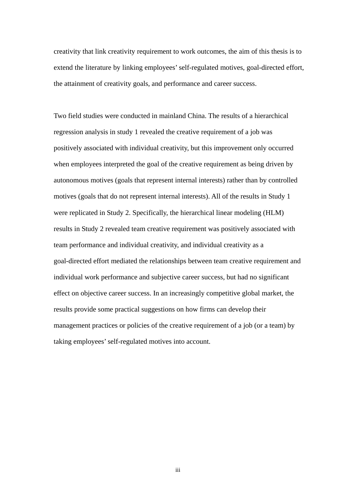creativity that link creativity requirement to work outcomes, the aim of this thesis is to extend the literature by linking employees' self-regulated motives, goal-directed effort, the attainment of creativity goals, and performance and career success.

Two field studies were conducted in mainland China. The results of a hierarchical regression analysis in study 1 revealed the creative requirement of a job was positively associated with individual creativity, but this improvement only occurred when employees interpreted the goal of the creative requirement as being driven by autonomous motives (goals that represent internal interests) rather than by controlled motives (goals that do not represent internal interests). All of the results in Study 1 were replicated in Study 2. Specifically, the hierarchical linear modeling (HLM) results in Study 2 revealed team creative requirement was positively associated with team performance and individual creativity, and individual creativity as a goal-directed effort mediated the relationships between team creative requirement and individual work performance and subjective career success, but had no significant effect on objective career success. In an increasingly competitive global market, the results provide some practical suggestions on how firms can develop their management practices or policies of the creative requirement of a job (or a team) by taking employees' self-regulated motives into account.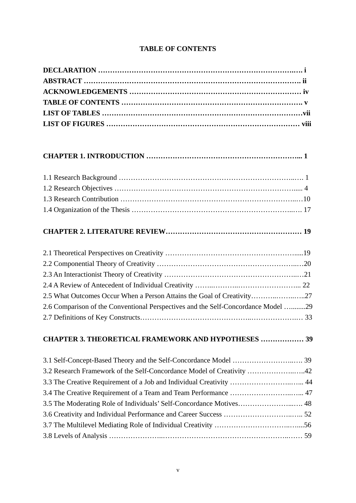### **TABLE OF CONTENTS**

# **CHAPTER 1. INTRODUCTION ………………………………………………………... 1**

### **CHAPTER 2. LITERATURE REVIEW………………………………………………… 19**

| 2.5 What Outcomes Occur When a Person Attains the Goal of Creativity27            |  |
|-----------------------------------------------------------------------------------|--|
| 2.6 Comparison of the Conventional Perspectives and the Self-Concordance Model 29 |  |
|                                                                                   |  |

# **CHAPTER 3. THEORETICAL FRAMEWORK AND HYPOTHESES ……………… 39**

| 3.2 Research Framework of the Self-Concordance Model of Creativity 42 |  |
|-----------------------------------------------------------------------|--|
| 3.3 The Creative Requirement of a Job and Individual Creativity  44   |  |
|                                                                       |  |
|                                                                       |  |
|                                                                       |  |
|                                                                       |  |
|                                                                       |  |